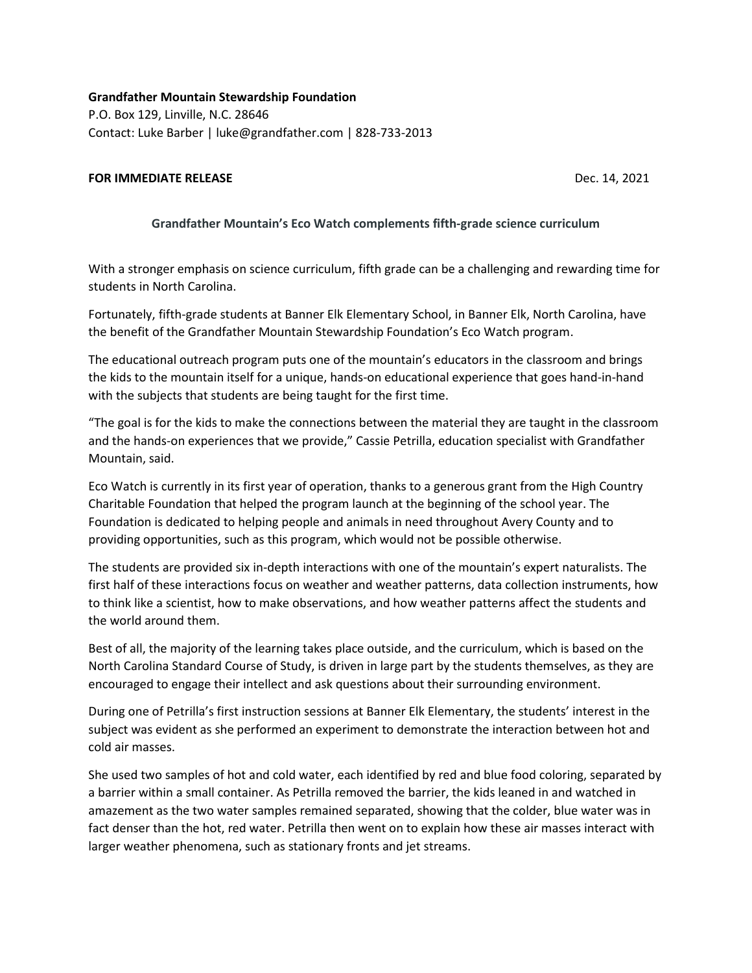**Grandfather Mountain Stewardship Foundation** P.O. Box 129, Linville, N.C. 28646 Contact: Luke Barber | luke@grandfather.com | 828-733-2013

## **FOR IMMEDIATE RELEASE Dec. 14, 2021**

## **Grandfather Mountain's Eco Watch complements fifth-grade science curriculum**

With a stronger emphasis on science curriculum, fifth grade can be a challenging and rewarding time for students in North Carolina.

Fortunately, fifth-grade students at Banner Elk Elementary School, in Banner Elk, North Carolina, have the benefit of the Grandfather Mountain Stewardship Foundation's Eco Watch program.

The educational outreach program puts one of the mountain's educators in the classroom and brings the kids to the mountain itself for a unique, hands-on educational experience that goes hand-in-hand with the subjects that students are being taught for the first time.

"The goal is for the kids to make the connections between the material they are taught in the classroom and the hands-on experiences that we provide," Cassie Petrilla, education specialist with Grandfather Mountain, said.

Eco Watch is currently in its first year of operation, thanks to a generous grant from the High Country Charitable Foundation that helped the program launch at the beginning of the school year. The Foundation is dedicated to helping people and animals in need throughout Avery County and to providing opportunities, such as this program, which would not be possible otherwise.

The students are provided six in-depth interactions with one of the mountain's expert naturalists. The first half of these interactions focus on weather and weather patterns, data collection instruments, how to think like a scientist, how to make observations, and how weather patterns affect the students and the world around them.

Best of all, the majority of the learning takes place outside, and the curriculum, which is based on the North Carolina Standard Course of Study, is driven in large part by the students themselves, as they are encouraged to engage their intellect and ask questions about their surrounding environment.

During one of Petrilla's first instruction sessions at Banner Elk Elementary, the students' interest in the subject was evident as she performed an experiment to demonstrate the interaction between hot and cold air masses.

She used two samples of hot and cold water, each identified by red and blue food coloring, separated by a barrier within a small container. As Petrilla removed the barrier, the kids leaned in and watched in amazement as the two water samples remained separated, showing that the colder, blue water was in fact denser than the hot, red water. Petrilla then went on to explain how these air masses interact with larger weather phenomena, such as stationary fronts and jet streams.